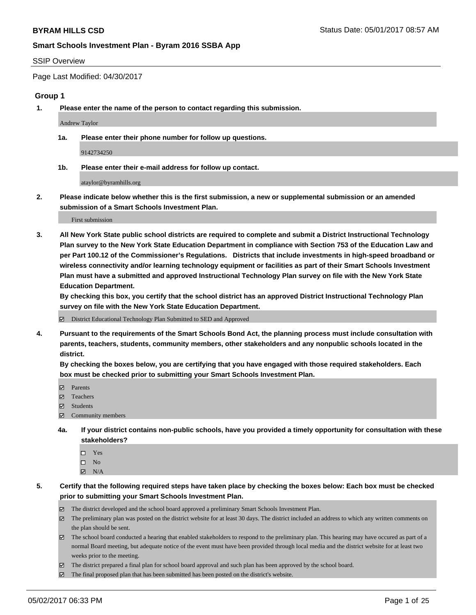### SSIP Overview

Page Last Modified: 04/30/2017

### **Group 1**

**1. Please enter the name of the person to contact regarding this submission.**

Andrew Taylor

**1a. Please enter their phone number for follow up questions.**

9142734250

**1b. Please enter their e-mail address for follow up contact.**

ataylor@byramhills.org

**2. Please indicate below whether this is the first submission, a new or supplemental submission or an amended submission of a Smart Schools Investment Plan.**

First submission

**3. All New York State public school districts are required to complete and submit a District Instructional Technology Plan survey to the New York State Education Department in compliance with Section 753 of the Education Law and per Part 100.12 of the Commissioner's Regulations. Districts that include investments in high-speed broadband or wireless connectivity and/or learning technology equipment or facilities as part of their Smart Schools Investment Plan must have a submitted and approved Instructional Technology Plan survey on file with the New York State Education Department.** 

**By checking this box, you certify that the school district has an approved District Instructional Technology Plan survey on file with the New York State Education Department.**

District Educational Technology Plan Submitted to SED and Approved

**4. Pursuant to the requirements of the Smart Schools Bond Act, the planning process must include consultation with parents, teachers, students, community members, other stakeholders and any nonpublic schools located in the district.** 

**By checking the boxes below, you are certifying that you have engaged with those required stakeholders. Each box must be checked prior to submitting your Smart Schools Investment Plan.**

- **マ** Parents
- □ Teachers
- Students
- $\Xi$  Community members
- **4a. If your district contains non-public schools, have you provided a timely opportunity for consultation with these stakeholders?**
	- Yes
	- $\hfill \square$  No
	- $\boxtimes$  N/A
- **5. Certify that the following required steps have taken place by checking the boxes below: Each box must be checked prior to submitting your Smart Schools Investment Plan.**
	- The district developed and the school board approved a preliminary Smart Schools Investment Plan.
	- $\boxtimes$  The preliminary plan was posted on the district website for at least 30 days. The district included an address to which any written comments on the plan should be sent.
	- $\boxtimes$  The school board conducted a hearing that enabled stakeholders to respond to the preliminary plan. This hearing may have occured as part of a normal Board meeting, but adequate notice of the event must have been provided through local media and the district website for at least two weeks prior to the meeting.
	- The district prepared a final plan for school board approval and such plan has been approved by the school board.
	- $\boxtimes$  The final proposed plan that has been submitted has been posted on the district's website.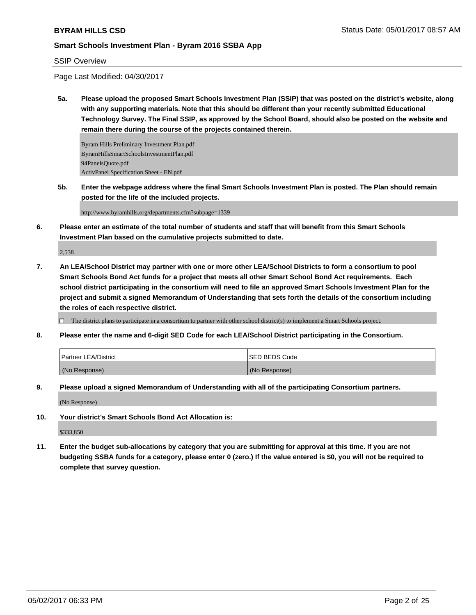### SSIP Overview

Page Last Modified: 04/30/2017

**5a. Please upload the proposed Smart Schools Investment Plan (SSIP) that was posted on the district's website, along with any supporting materials. Note that this should be different than your recently submitted Educational Technology Survey. The Final SSIP, as approved by the School Board, should also be posted on the website and remain there during the course of the projects contained therein.**

Byram Hills Preliminary Investment Plan.pdf ByramHillsSmartSchoolsInvestmentPlan.pdf 94PanelsQuote.pdf ActivPanel Specification Sheet - EN.pdf

**5b. Enter the webpage address where the final Smart Schools Investment Plan is posted. The Plan should remain posted for the life of the included projects.**

http://www.byramhills.org/departments.cfm?subpage=1339

**6. Please enter an estimate of the total number of students and staff that will benefit from this Smart Schools Investment Plan based on the cumulative projects submitted to date.**

2,538

**7. An LEA/School District may partner with one or more other LEA/School Districts to form a consortium to pool Smart Schools Bond Act funds for a project that meets all other Smart School Bond Act requirements. Each school district participating in the consortium will need to file an approved Smart Schools Investment Plan for the project and submit a signed Memorandum of Understanding that sets forth the details of the consortium including the roles of each respective district.**

 $\Box$  The district plans to participate in a consortium to partner with other school district(s) to implement a Smart Schools project.

**8. Please enter the name and 6-digit SED Code for each LEA/School District participating in the Consortium.**

| <b>Partner LEA/District</b> | ISED BEDS Code |
|-----------------------------|----------------|
| (No Response)               | (No Response)  |

**9. Please upload a signed Memorandum of Understanding with all of the participating Consortium partners.**

(No Response)

**10. Your district's Smart Schools Bond Act Allocation is:**

\$333,850

**11. Enter the budget sub-allocations by category that you are submitting for approval at this time. If you are not budgeting SSBA funds for a category, please enter 0 (zero.) If the value entered is \$0, you will not be required to complete that survey question.**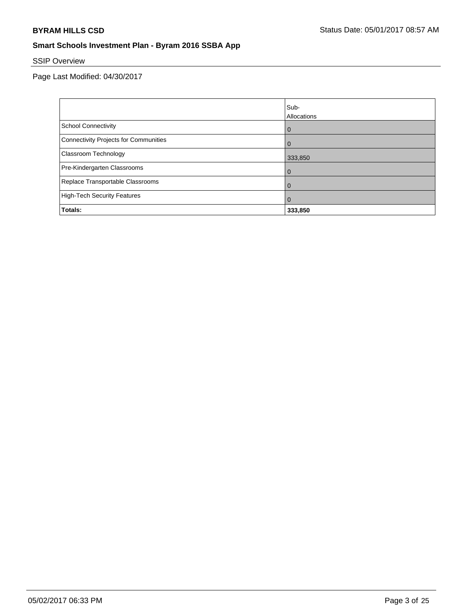# SSIP Overview

|                                       | lSub-          |
|---------------------------------------|----------------|
|                                       | Allocations    |
| <b>School Connectivity</b>            | $\overline{0}$ |
| Connectivity Projects for Communities | $\Omega$       |
| <b>Classroom Technology</b>           | 333,850        |
| Pre-Kindergarten Classrooms           | $\Omega$       |
| Replace Transportable Classrooms      | $\Omega$       |
| High-Tech Security Features           | $\Omega$       |
| Totals:                               | 333,850        |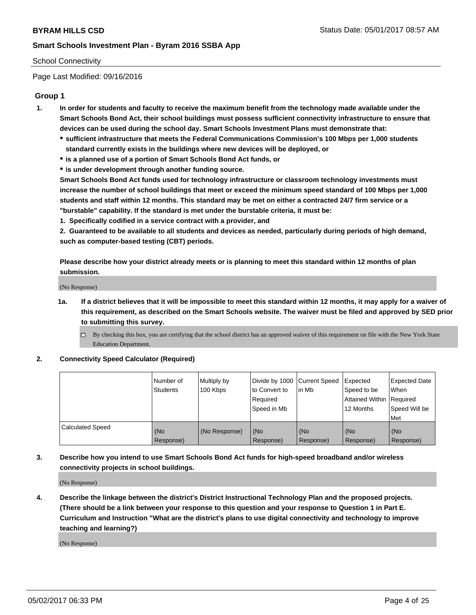# School Connectivity

Page Last Modified: 09/16/2016

# **Group 1**

- **1. In order for students and faculty to receive the maximum benefit from the technology made available under the Smart Schools Bond Act, their school buildings must possess sufficient connectivity infrastructure to ensure that devices can be used during the school day. Smart Schools Investment Plans must demonstrate that:**
	- **sufficient infrastructure that meets the Federal Communications Commission's 100 Mbps per 1,000 students standard currently exists in the buildings where new devices will be deployed, or**
	- **is a planned use of a portion of Smart Schools Bond Act funds, or**
	- **is under development through another funding source.**

**Smart Schools Bond Act funds used for technology infrastructure or classroom technology investments must increase the number of school buildings that meet or exceed the minimum speed standard of 100 Mbps per 1,000 students and staff within 12 months. This standard may be met on either a contracted 24/7 firm service or a "burstable" capability. If the standard is met under the burstable criteria, it must be:**

**1. Specifically codified in a service contract with a provider, and**

**2. Guaranteed to be available to all students and devices as needed, particularly during periods of high demand, such as computer-based testing (CBT) periods.**

**Please describe how your district already meets or is planning to meet this standard within 12 months of plan submission.**

(No Response)

- **1a. If a district believes that it will be impossible to meet this standard within 12 months, it may apply for a waiver of this requirement, as described on the Smart Schools website. The waiver must be filed and approved by SED prior to submitting this survey.**
	- By checking this box, you are certifying that the school district has an approved waiver of this requirement on file with the New York State Education Department.

### **2. Connectivity Speed Calculator (Required)**

|                         | l Number of<br><b>Students</b> | Multiply by<br>100 Kbps | Divide by 1000 Current Speed<br>to Convert to<br>Required<br>l Speed in Mb | lin Mb           | Expected<br>Speed to be<br>Attained Within Required<br>12 Months | Expected Date<br>When<br>Speed Will be<br><b>Met</b> |
|-------------------------|--------------------------------|-------------------------|----------------------------------------------------------------------------|------------------|------------------------------------------------------------------|------------------------------------------------------|
| <b>Calculated Speed</b> | (No<br>Response)               | (No Response)           | (No<br>Response)                                                           | (No<br>Response) | (No<br>Response)                                                 | l (No<br>Response)                                   |

# **3. Describe how you intend to use Smart Schools Bond Act funds for high-speed broadband and/or wireless connectivity projects in school buildings.**

(No Response)

**4. Describe the linkage between the district's District Instructional Technology Plan and the proposed projects. (There should be a link between your response to this question and your response to Question 1 in Part E. Curriculum and Instruction "What are the district's plans to use digital connectivity and technology to improve teaching and learning?)**

(No Response)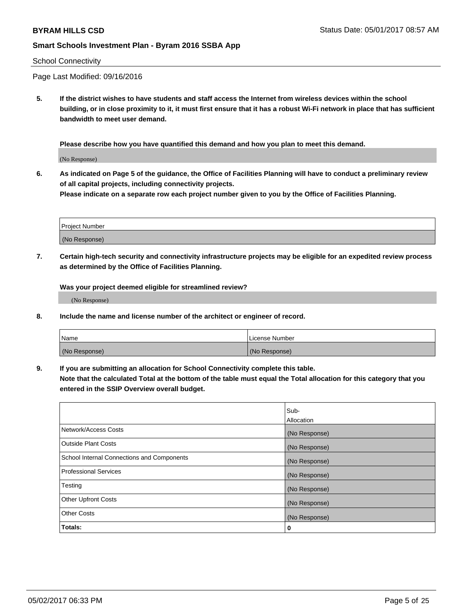### School Connectivity

Page Last Modified: 09/16/2016

**5. If the district wishes to have students and staff access the Internet from wireless devices within the school building, or in close proximity to it, it must first ensure that it has a robust Wi-Fi network in place that has sufficient bandwidth to meet user demand.**

**Please describe how you have quantified this demand and how you plan to meet this demand.**

(No Response)

**6. As indicated on Page 5 of the guidance, the Office of Facilities Planning will have to conduct a preliminary review of all capital projects, including connectivity projects.**

**Please indicate on a separate row each project number given to you by the Office of Facilities Planning.**

| Project Number |  |
|----------------|--|
|                |  |
| (No Response)  |  |

**7. Certain high-tech security and connectivity infrastructure projects may be eligible for an expedited review process as determined by the Office of Facilities Planning.**

**Was your project deemed eligible for streamlined review?**

(No Response)

**8. Include the name and license number of the architect or engineer of record.**

| Name          | License Number |
|---------------|----------------|
| (No Response) | (No Response)  |

**9. If you are submitting an allocation for School Connectivity complete this table.**

**Note that the calculated Total at the bottom of the table must equal the Total allocation for this category that you entered in the SSIP Overview overall budget.** 

|                                            | Sub-          |
|--------------------------------------------|---------------|
|                                            | Allocation    |
| Network/Access Costs                       | (No Response) |
| Outside Plant Costs                        | (No Response) |
| School Internal Connections and Components | (No Response) |
| <b>Professional Services</b>               | (No Response) |
| Testing                                    | (No Response) |
| <b>Other Upfront Costs</b>                 | (No Response) |
| <b>Other Costs</b>                         | (No Response) |
| Totals:                                    | 0             |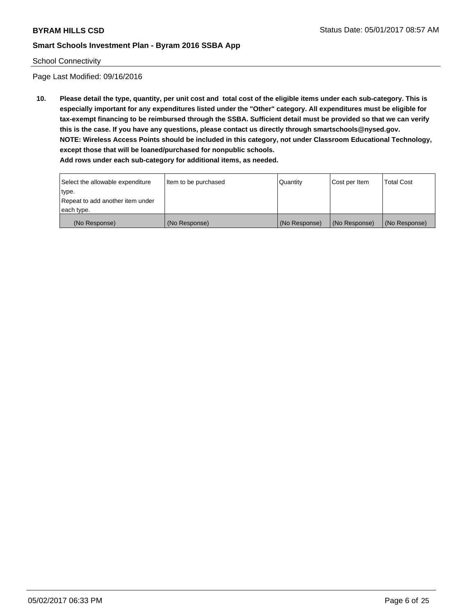### School Connectivity

Page Last Modified: 09/16/2016

**10. Please detail the type, quantity, per unit cost and total cost of the eligible items under each sub-category. This is especially important for any expenditures listed under the "Other" category. All expenditures must be eligible for tax-exempt financing to be reimbursed through the SSBA. Sufficient detail must be provided so that we can verify this is the case. If you have any questions, please contact us directly through smartschools@nysed.gov. NOTE: Wireless Access Points should be included in this category, not under Classroom Educational Technology, except those that will be loaned/purchased for nonpublic schools.**

| Select the allowable expenditure | Item to be purchased | Quantity      | Cost per Item | Total Cost    |
|----------------------------------|----------------------|---------------|---------------|---------------|
| type.                            |                      |               |               |               |
| Repeat to add another item under |                      |               |               |               |
| each type.                       |                      |               |               |               |
| (No Response)                    | (No Response)        | (No Response) | (No Response) | (No Response) |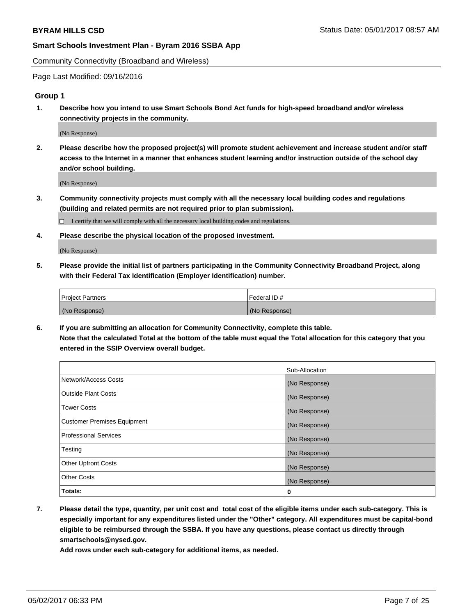Community Connectivity (Broadband and Wireless)

Page Last Modified: 09/16/2016

# **Group 1**

**1. Describe how you intend to use Smart Schools Bond Act funds for high-speed broadband and/or wireless connectivity projects in the community.**

(No Response)

**2. Please describe how the proposed project(s) will promote student achievement and increase student and/or staff access to the Internet in a manner that enhances student learning and/or instruction outside of the school day and/or school building.**

(No Response)

**3. Community connectivity projects must comply with all the necessary local building codes and regulations (building and related permits are not required prior to plan submission).**

 $\Box$  I certify that we will comply with all the necessary local building codes and regulations.

**4. Please describe the physical location of the proposed investment.**

(No Response)

**5. Please provide the initial list of partners participating in the Community Connectivity Broadband Project, along with their Federal Tax Identification (Employer Identification) number.**

| <b>Project Partners</b> | Federal ID#     |
|-------------------------|-----------------|
| (No Response)           | l (No Response) |

**6. If you are submitting an allocation for Community Connectivity, complete this table. Note that the calculated Total at the bottom of the table must equal the Total allocation for this category that you entered in the SSIP Overview overall budget.**

|                                    | Sub-Allocation |
|------------------------------------|----------------|
| Network/Access Costs               | (No Response)  |
| Outside Plant Costs                | (No Response)  |
| <b>Tower Costs</b>                 | (No Response)  |
| <b>Customer Premises Equipment</b> | (No Response)  |
| <b>Professional Services</b>       | (No Response)  |
| Testing                            | (No Response)  |
| <b>Other Upfront Costs</b>         | (No Response)  |
| <b>Other Costs</b>                 | (No Response)  |
| Totals:                            | 0              |

**7. Please detail the type, quantity, per unit cost and total cost of the eligible items under each sub-category. This is especially important for any expenditures listed under the "Other" category. All expenditures must be capital-bond eligible to be reimbursed through the SSBA. If you have any questions, please contact us directly through smartschools@nysed.gov.**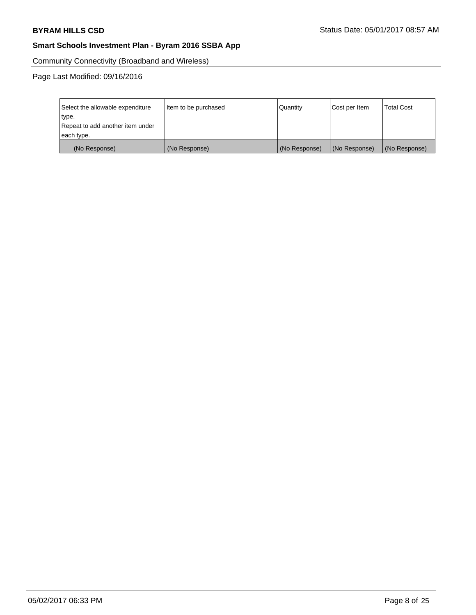Community Connectivity (Broadband and Wireless)

Page Last Modified: 09/16/2016

| Select the allowable expenditure<br>type.      | Item to be purchased | Quantity      | Cost per Item | <b>Total Cost</b> |
|------------------------------------------------|----------------------|---------------|---------------|-------------------|
| Repeat to add another item under<br>each type. |                      |               |               |                   |
| (No Response)                                  | (No Response)        | (No Response) | (No Response) | (No Response)     |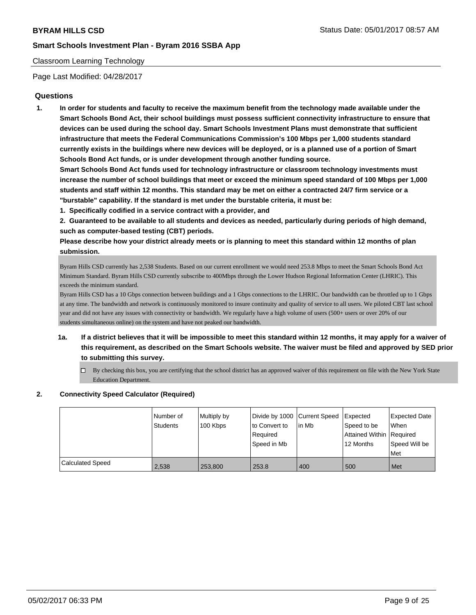# Classroom Learning Technology

Page Last Modified: 04/28/2017

# **Questions**

**1. In order for students and faculty to receive the maximum benefit from the technology made available under the Smart Schools Bond Act, their school buildings must possess sufficient connectivity infrastructure to ensure that devices can be used during the school day. Smart Schools Investment Plans must demonstrate that sufficient infrastructure that meets the Federal Communications Commission's 100 Mbps per 1,000 students standard currently exists in the buildings where new devices will be deployed, or is a planned use of a portion of Smart Schools Bond Act funds, or is under development through another funding source.**

**Smart Schools Bond Act funds used for technology infrastructure or classroom technology investments must increase the number of school buildings that meet or exceed the minimum speed standard of 100 Mbps per 1,000 students and staff within 12 months. This standard may be met on either a contracted 24/7 firm service or a "burstable" capability. If the standard is met under the burstable criteria, it must be:**

**1. Specifically codified in a service contract with a provider, and**

**2. Guaranteed to be available to all students and devices as needed, particularly during periods of high demand, such as computer-based testing (CBT) periods.**

**Please describe how your district already meets or is planning to meet this standard within 12 months of plan submission.**

Byram Hills CSD currently has 2,538 Students. Based on our current enrollment we would need 253.8 Mbps to meet the Smart Schools Bond Act Minimum Standard. Byram Hills CSD currently subscribe to 400Mbps through the Lower Hudson Regional Information Center (LHRIC). This exceeds the minimum standard.

Byram Hills CSD has a 10 Gbps connection between buildings and a 1 Gbps connections to the LHRIC. Our bandwidth can be throttled up to 1 Gbps at any time. The bandwidth and network is continuously monitored to insure continuity and quality of service to all users. We piloted CBT last school year and did not have any issues with connectivity or bandwidth. We regularly have a high volume of users (500+ users or over 20% of our students simultaneous online) on the system and have not peaked our bandwidth.

- **1a. If a district believes that it will be impossible to meet this standard within 12 months, it may apply for a waiver of this requirement, as described on the Smart Schools website. The waiver must be filed and approved by SED prior to submitting this survey.**
	- $\Box$  By checking this box, you are certifying that the school district has an approved waiver of this requirement on file with the New York State Education Department.

### **2. Connectivity Speed Calculator (Required)**

|                         | Number of<br>Students | Multiply by<br>100 Kbps | Divide by 1000 Current Speed<br>to Convert to<br>Required<br>Speed in Mb | lin Mb | <b>Expected</b><br>Speed to be<br>Attained Within Required<br>12 Months | <b>Expected Date</b><br>When<br>Speed Will be<br>Met |
|-------------------------|-----------------------|-------------------------|--------------------------------------------------------------------------|--------|-------------------------------------------------------------------------|------------------------------------------------------|
| <b>Calculated Speed</b> | 2,538                 | 253.800                 | 253.8                                                                    | 400    | 500                                                                     | Met                                                  |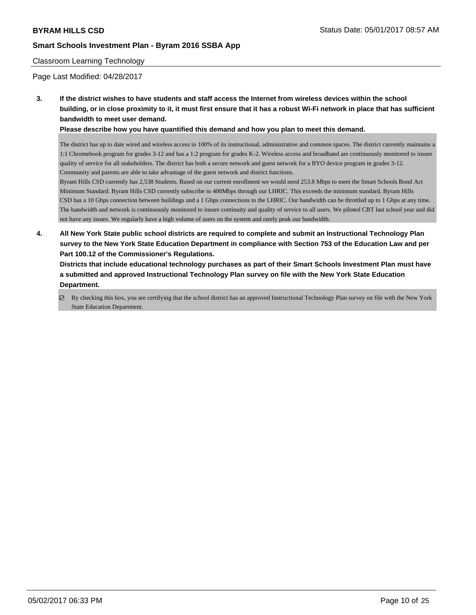### Classroom Learning Technology

Page Last Modified: 04/28/2017

**3. If the district wishes to have students and staff access the Internet from wireless devices within the school building, or in close proximity to it, it must first ensure that it has a robust Wi-Fi network in place that has sufficient bandwidth to meet user demand.**

**Please describe how you have quantified this demand and how you plan to meet this demand.**

The district has up to date wired and wireless access in 100% of its instructional, administrative and common spaces. The district currently maintains a 1:1 Chromebook program for grades 3-12 and has a 1:2 program for grades K-2. Wireless access and broadband are continuously monitored to insure quality of service for all stakeholders. The district has both a secure network and guest network for a BYO device program in grades 3-12. Community and parents are able to take advantage of the guest network and district functions.

Byram Hills CSD currently has 2,538 Students. Based on our current enrollment we would need 253.8 Mbps to meet the Smart Schools Bond Act Minimum Standard. Byram Hills CSD currently subscribe to 400Mbps through our LHRIC. This exceeds the minimum standard. Byram Hills CSD has a 10 Gbps connection between buildings and a 1 Gbps connections to the LHRIC. Our bandwidth can be throttled up to 1 Gbps at any time. The bandwidth and network is continuously monitored to insure continuity and quality of service to all users. We piloted CBT last school year and did not have any issues. We regularly have a high volume of users on the system and rarely peak our bandwidth.

**4. All New York State public school districts are required to complete and submit an Instructional Technology Plan survey to the New York State Education Department in compliance with Section 753 of the Education Law and per Part 100.12 of the Commissioner's Regulations.**

**Districts that include educational technology purchases as part of their Smart Schools Investment Plan must have a submitted and approved Instructional Technology Plan survey on file with the New York State Education Department.**

By checking this box, you are certifying that the school district has an approved Instructional Technology Plan survey on file with the New York State Education Department.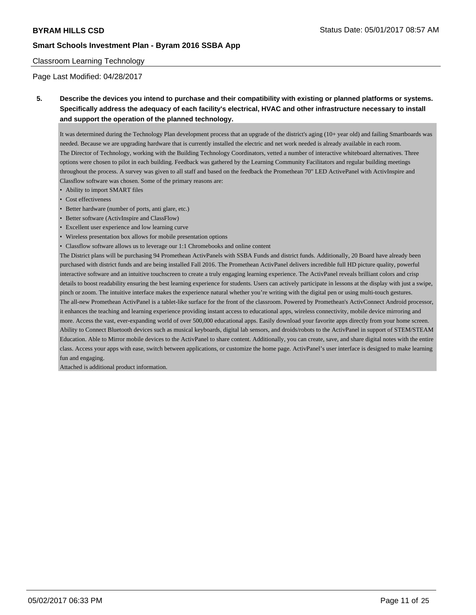# Classroom Learning Technology

Page Last Modified: 04/28/2017

# **5. Describe the devices you intend to purchase and their compatibility with existing or planned platforms or systems. Specifically address the adequacy of each facility's electrical, HVAC and other infrastructure necessary to install and support the operation of the planned technology.**

It was determined during the Technology Plan development process that an upgrade of the district's aging (10+ year old) and failing Smartboards was needed. Because we are upgrading hardware that is currently installed the electric and net work needed is already available in each room. The Director of Technology, working with the Building Technology Coordinators, vetted a number of interactive whiteboard alternatives. Three options were chosen to pilot in each building. Feedback was gathered by the Learning Community Facilitators and regular building meetings throughout the process. A survey was given to all staff and based on the feedback the Promethean 70" LED ActivePanel with ActivInspire and Classflow software was chosen. Some of the primary reasons are:

- Ability to import SMART files
- Cost effectiveness
- Better hardware (number of ports, anti glare, etc.)
- Better software (ActivInspire and ClassFlow)
- Excellent user experience and low learning curve
- Wireless presentation box allows for mobile presentation options
- Classflow software allows us to leverage our 1:1 Chromebooks and online content

The District plans will be purchasing 94 Promethean ActivPanels with SSBA Funds and district funds. Additionally, 20 Board have already been purchased with district funds and are being installed Fall 2016. The Promethean ActivPanel delivers incredible full HD picture quality, powerful interactive software and an intuitive touchscreen to create a truly engaging learning experience. The ActivPanel reveals brilliant colors and crisp details to boost readability ensuring the best learning experience for students. Users can actively participate in lessons at the display with just a swipe, pinch or zoom. The intuitive interface makes the experience natural whether you're writing with the digital pen or using multi-touch gestures. The all-new Promethean ActivPanel is a tablet-like surface for the front of the classroom. Powered by Promethean's ActivConnect Android processor, it enhances the teaching and learning experience providing instant access to educational apps, wireless connectivity, mobile device mirroring and more. Access the vast, ever-expanding world of over 500,000 educational apps. Easily download your favorite apps directly from your home screen. Ability to Connect Bluetooth devices such as musical keyboards, digital lab sensors, and droids/robots to the ActivPanel in support of STEM/STEAM Education. Able to Mirror mobile devices to the ActivPanel to share content. Additionally, you can create, save, and share digital notes with the entire class. Access your apps with ease, switch between applications, or customize the home page. ActivPanel's user interface is designed to make learning fun and engaging.

Attached is additional product information.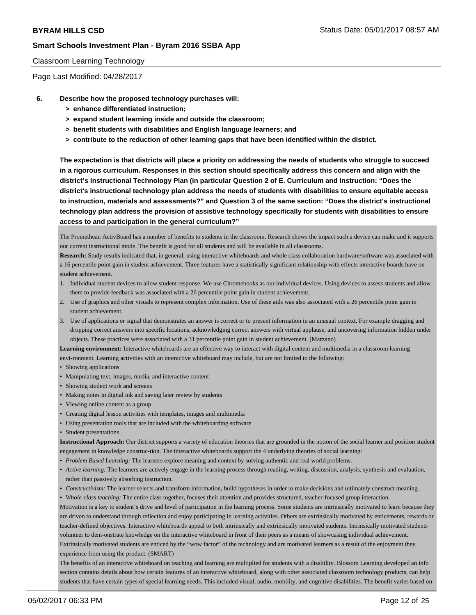### Classroom Learning Technology

Page Last Modified: 04/28/2017

- **6. Describe how the proposed technology purchases will:**
	- **> enhance differentiated instruction;**
	- **> expand student learning inside and outside the classroom;**
	- **> benefit students with disabilities and English language learners; and**
	- **> contribute to the reduction of other learning gaps that have been identified within the district.**

**The expectation is that districts will place a priority on addressing the needs of students who struggle to succeed in a rigorous curriculum. Responses in this section should specifically address this concern and align with the district's Instructional Technology Plan (in particular Question 2 of E. Curriculum and Instruction: "Does the district's instructional technology plan address the needs of students with disabilities to ensure equitable access to instruction, materials and assessments?" and Question 3 of the same section: "Does the district's instructional technology plan address the provision of assistive technology specifically for students with disabilities to ensure access to and participation in the general curriculum?"**

The Promethean ActivBoard has a number of benefits to students in the classroom. Research shows the impact such a device can make and it supports our current instructional mode. The benefit is good for all students and will be available in all classrooms.

**Research:** Study results indicated that, in general, using interactive whiteboards and whole class collaboration hardware/software was associated with a 16 percentile point gain in student achievement. Three features have a statistically significant relationship with effects interactive boards have on student achievement.

- 1. Individual student devices to allow student response. We use Chromebooks as our individual devices. Using devices to assess students and allow them to provide feedback was associated with a 26 percentile point gain in student achievement.
- 2. Use of graphics and other visuals to represent complex information. Use of these aids was also associated with a 26 percentile point gain in student achievement.
- 3. Use of applications or signal that demonstrates an answer is correct or to present information in an unusual context. For example dragging and dropping correct answers into specific locations, acknowledging correct answers with virtual applause, and uncovering information hidden under objects. These practices were associated with a 31 percentile point gain in student achievement. (Marzano)

**Learning environment:** Interactive whiteboards are an effective way to interact with digital content and multimedia in a classroom learning envi-ronment. Learning activities with an interactive whiteboard may include, but are not limited to the following:

- Showing applications
- Manipulating text, images, media, and interactive content
- Showing student work and screens
- Making notes in digital ink and saving later review by students
- Viewing online content as a group
- Creating digital lesson activities with templates, images and multimedia
- Using presentation tools that are included with the whiteboarding software
- Student presentations

**Instructional Approach:** Our district supports a variety of education theories that are grounded in the notion of the social learner and position student engagement in knowledge construc-tion. The interactive whiteboards support the 4 underlying theories of social learning:

- *• Problem Based Learning:* The learners explore meaning and context by solving authentic and real world problems.
- *• Active learning:* The learners are actively engage in the learning process through reading, writing, discussion, analysis, synthesis and evaluation, rather than passively absorbing instruction.
- *• Constructivism:* The learner selects and transform information, build hypotheses in order to make decisions and ultimately construct meaning.

*• Whole-class teaching:* The entire class together, focuses their attention and provides structured, teacher-focused group interaction.

Motivation is a key to student's drive and level of participation in the learning process. Some students are intrinsically motivated to learn because they are driven to understand through reflection and enjoy participating in learning activities. Others are extrinsically motivated by enticements, rewards or teacher-defined objectives. Interactive whiteboards appeal to both intrinsically and extrinsically motivated students. Intrinsically motivated students volunteer to dem-onstrate knowledge on the interactive whiteboard in front of their peers as a means of showcasing individual achievement. Extrinsically motivated students are enticed by the "wow factor" of the technology and are motivated learners as a result of the enjoyment they experience from using the product. (SMART)

The benefits of an interactive whiteboard on teaching and learning are multiplied for students with a disability. Blossom Learning developed an info section contains details about how certain features of an interactive whiteboard, along with other associated classroom technology products, can help students that have certain types of special learning needs. This included visual, audio, mobility, and cognitive disabilities. The benefit varies based on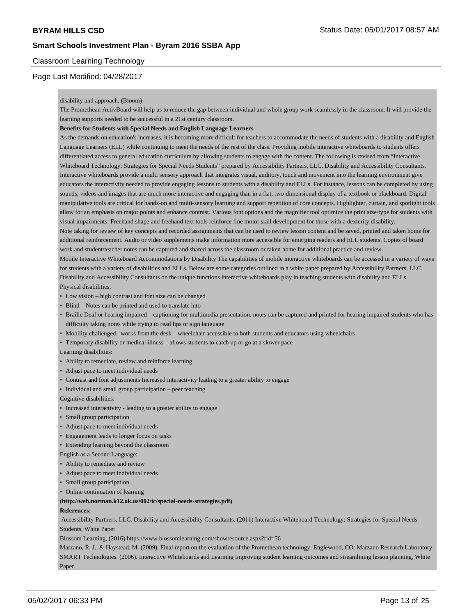# Classroom Learning Technology

# Page Last Modified: 04/28/2017

#### disability and approach. (Bloom)

The Promethean ActivBoard will help us to reduce the gap between individual and whole group work seamlessly in the classroom. It will provide the learning supports needed to be successful in a 21st century classroom.

#### **Benefits for Students with Special Needs and English Language Learners**

As the demands on education's increases, it is becoming more difficult for teachers to accommodate the needs of students with a disability and English Language Learners (ELL) while continuing to meet the needs of the rest of the class. Providing mobile interactive whiteboards to students offers differentiated access to general education curriculum by allowing students to engage with the content. The following is revised from "Interactive Whiteboard Technology: Strategies for Special Needs Students" prepared by Accessibility Partners, LLC. Disability and Accessibility Consultants. Interactive whiteboards provide a multi sensory approach that integrates visual, auditory, touch and movement into the learning environment give educators the interactivity needed to provide engaging lessons to students with a disability and ELLs. For instance, lessons can be completed by using sounds, videos and images that are much more interactive and engaging than in a flat, two-dimensional display of a textbook or blackboard. Digital manipulative tools are critical for hands-on and multi-sensory learning and support repetition of core concepts. Highlighter, curtain, and spotlight tools allow for an emphasis on major points and enhance contrast. Various font options and the magnifier tool optimize the print size/type for students with visual impairments. Freehand shape and freehand text tools reinforce fine motor skill development for those with a dexterity disability. Note taking for review of key concepts and recorded assignments that can be used to review lesson content and be saved, printed and taken home for additional reinforcement. Audio or video supplements make information more accessible for emerging readers and ELL students. Copies of board

work and student/teacher notes can be captured and shared across the classroom or taken home for additional practice and review.

Mobile Interactive Whiteboard Accommodations by Disability The capabilities of mobile interactive whiteboards can be accessed in a variety of ways for students with a variety of disabilities and ELLs. Below are some categories outlined in a white paper prepared by Accessibility Partners, LLC. Disability and Accessibility Consultants on the unique functions interactive whiteboards play in teaching students with disability and ELLs. Physical disabilities:

- Low vision high contrast and font size can be changed
- Blind Notes can be printed and used to translate into
- Braille Deaf or hearing impaired captioning for multimedia presentation, notes can be captured and printed for hearing impaired students who has difficulty taking notes while trying to read lips or sign language
- Mobility challenged –works from the desk wheelchair accessible to both students and educators using wheelchairs
- Temporary disability or medical illness allows students to catch up or go at a slower pace

Learning disabilities:

- Ability to remediate, review and reinforce learning
- Adjust pace to meet individual needs
- Contrast and font adjustments Increased interactivity leading to a greater ability to engage
- Individual and small group participation peer teaching

Cognitive disabilities:

- Increased interactivity leading to a greater ability to engage
- Small group participation
- Adjust pace to meet individual needs
- Engagement leads to longer focus on tasks
- Extending learning beyond the classroom

English as a Second Language:

- Ability to remediate and review
- Adjust pace to meet individual needs
- Small group participation
- Online continuation of learning

#### **(http://web.norman.k12.ok.us/002/ic/special-needs-strategies.pdf)**

#### **References:**

 Accessibility Partners, LLC. Disability and Accessibility Consultants, (2011) Interactive Whiteboard Technology: Strategies for Special Needs Students, White Paper

Blossom Learning, (2016) https://www.blossomlearning.com/showresource.aspx?rid=56

Marzano, R. J., & Haystead, M. (2009). Final report on the evaluation of the Promethean technology. Englewood, CO: Marzano Research Laboratory. SMART Technologies. (2006). Interactive Whiteboards and Learning Improving student learning outcomes and streamlining lesson planning, White Paper,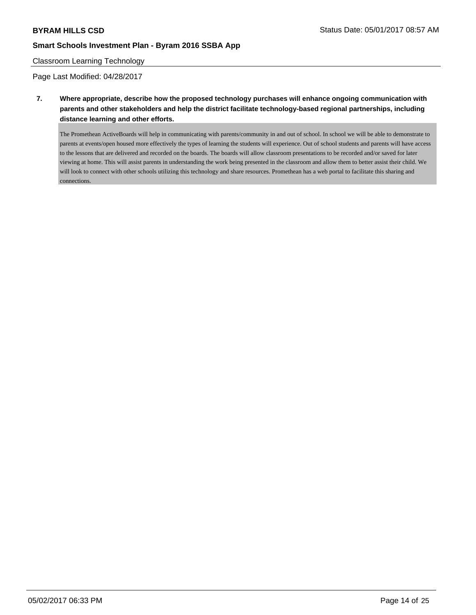### Classroom Learning Technology

Page Last Modified: 04/28/2017

**7. Where appropriate, describe how the proposed technology purchases will enhance ongoing communication with parents and other stakeholders and help the district facilitate technology-based regional partnerships, including distance learning and other efforts.**

The Promethean ActiveBoards will help in communicating with parents/community in and out of school. In school we will be able to demonstrate to parents at events/open housed more effectively the types of learning the students will experience. Out of school students and parents will have access to the lessons that are delivered and recorded on the boards. The boards will allow classroom presentations to be recorded and/or saved for later viewing at home. This will assist parents in understanding the work being presented in the classroom and allow them to better assist their child. We will look to connect with other schools utilizing this technology and share resources. Promethean has a web portal to facilitate this sharing and connections.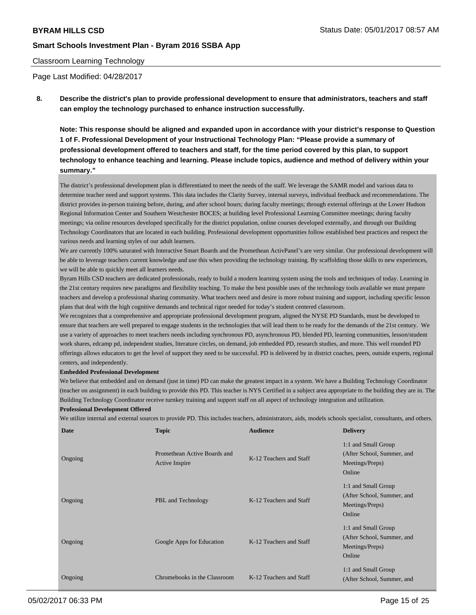### Classroom Learning Technology

Page Last Modified: 04/28/2017

**8. Describe the district's plan to provide professional development to ensure that administrators, teachers and staff can employ the technology purchased to enhance instruction successfully.**

**Note: This response should be aligned and expanded upon in accordance with your district's response to Question 1 of F. Professional Development of your Instructional Technology Plan: "Please provide a summary of professional development offered to teachers and staff, for the time period covered by this plan, to support technology to enhance teaching and learning. Please include topics, audience and method of delivery within your summary."**

The district's professional development plan is differentiated to meet the needs of the staff. We leverage the SAMR model and various data to determine teacher need and support systems. This data includes the Clarity Survey, internal surveys, individual feedback and recommendations. The district provides in-person training before, during, and after school hours; during faculty meetings; through external offerings at the Lower Hudson Regional Information Center and Southern Westchester BOCES; at building level Professional Learning Committee meetings; during faculty meetings; via online resources developed specifically for the district population, online courses developed externally, and through our Building Technology Coordinators that are located in each building. Professional development opportunities follow established best practices and respect the various needs and learning styles of our adult learners.

We are currently 100% saturated with Interactive Smart Boards and the Promethean ActivPanel's are very similar. Our professional development will be able to leverage teachers current knowledge and use this when providing the technology training. By scaffolding those skills to new experiences, we will be able to quickly meet all learners needs.

Byram Hills CSD teachers are dedicated professionals, ready to build a modern learning system using the tools and techniques of today. Learning in the 21st century requires new paradigms and flexibility teaching. To make the best possible uses of the technology tools available we must prepare teachers and develop a professional sharing community. What teachers need and desire is more robust training and support, including specific lesson plans that deal with the high cognitive demands and technical rigor needed for today's student centered classroom.

We recognizes that a comprehensive and appropriate professional development program, aligned the NYSE PD Standards, must be developed to ensure that teachers are well prepared to engage students in the technologies that will lead them to be ready for the demands of the 21st century. We use a variety of approaches to meet teachers needs including synchronous PD, asynchronous PD, blended PD, learning communities, lesson/student work shares, edcamp pd, independent studies, literature circles, on demand, job embedded PD, research studies, and more. This well rounded PD offerings allows educators to get the level of support they need to be successful. PD is delivered by in district coaches, peers, outside experts, regional centers, and independently.

#### **Embedded Professional Development**

We believe that embedded and on demand (just in time) PD can make the greatest impact in a system. We have a Building Technology Coordinator (teacher on assignment) in each building to provide this PD. This teacher is NYS Certified in a subject area appropriate to the building they are in. The Building Technology Coordinator receive turnkey training and support staff on all aspect of technology integration and utilization.

#### **Professional Development Offered**

We utilize internal and external sources to provide PD. This includes teachers, administrators, aids, models schools specialist, consultants, and others.

| Date    | <b>Topic</b>                                          | <b>Audience</b>         | <b>Delivery</b>                                                                |
|---------|-------------------------------------------------------|-------------------------|--------------------------------------------------------------------------------|
| Ongoing | Promethean Active Boards and<br><b>Active Inspire</b> | K-12 Teachers and Staff | 1:1 and Small Group<br>(After School, Summer, and<br>Meetings/Preps)<br>Online |
| Ongoing | PBL and Technology                                    | K-12 Teachers and Staff | 1:1 and Small Group<br>(After School, Summer, and<br>Meetings/Preps)<br>Online |
| Ongoing | Google Apps for Education                             | K-12 Teachers and Staff | 1:1 and Small Group<br>(After School, Summer, and<br>Meetings/Preps)<br>Online |
| Ongoing | Chromebooks in the Classroom                          | K-12 Teachers and Staff | 1:1 and Small Group<br>(After School, Summer, and                              |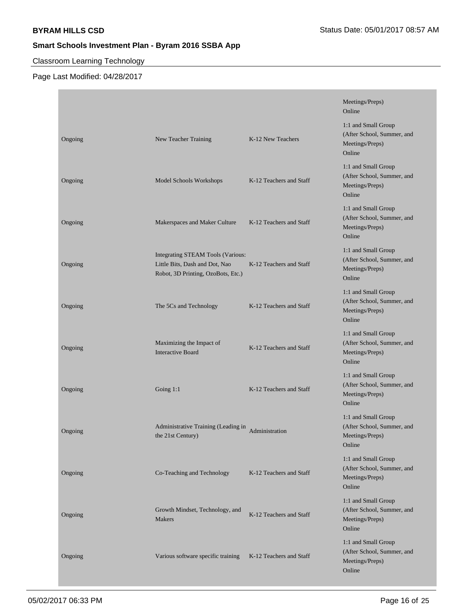# Classroom Learning Technology

|         |                                                                                                           |                         | Meetings/Preps)<br>Online                                                      |
|---------|-----------------------------------------------------------------------------------------------------------|-------------------------|--------------------------------------------------------------------------------|
| Ongoing | New Teacher Training                                                                                      | K-12 New Teachers       | 1:1 and Small Group<br>(After School, Summer, and<br>Meetings/Preps)<br>Online |
| Ongoing | Model Schools Workshops                                                                                   | K-12 Teachers and Staff | 1:1 and Small Group<br>(After School, Summer, and<br>Meetings/Preps)<br>Online |
| Ongoing | Makerspaces and Maker Culture                                                                             | K-12 Teachers and Staff | 1:1 and Small Group<br>(After School, Summer, and<br>Meetings/Preps)<br>Online |
| Ongoing | Integrating STEAM Tools (Various:<br>Little Bits, Dash and Dot, Nao<br>Robot, 3D Printing, OzoBots, Etc.) | K-12 Teachers and Staff | 1:1 and Small Group<br>(After School, Summer, and<br>Meetings/Preps)<br>Online |
| Ongoing | The 5Cs and Technology                                                                                    | K-12 Teachers and Staff | 1:1 and Small Group<br>(After School, Summer, and<br>Meetings/Preps)<br>Online |
| Ongoing | Maximizing the Impact of<br><b>Interactive Board</b>                                                      | K-12 Teachers and Staff | 1:1 and Small Group<br>(After School, Summer, and<br>Meetings/Preps)<br>Online |
| Ongoing | Going $1:1$                                                                                               | K-12 Teachers and Staff | 1:1 and Small Group<br>(After School, Summer, and<br>Meetings/Preps)<br>Online |
| Ongoing | Administrative Training (Leading in<br>the 21st Century)                                                  | Administration          | 1:1 and Small Group<br>(After School, Summer, and<br>Meetings/Preps)<br>Online |
| Ongoing | Co-Teaching and Technology                                                                                | K-12 Teachers and Staff | 1:1 and Small Group<br>(After School, Summer, and<br>Meetings/Preps)<br>Online |
| Ongoing | Growth Mindset, Technology, and<br>Makers                                                                 | K-12 Teachers and Staff | 1:1 and Small Group<br>(After School, Summer, and<br>Meetings/Preps)<br>Online |
| Ongoing | Various software specific training                                                                        | K-12 Teachers and Staff | 1:1 and Small Group<br>(After School, Summer, and<br>Meetings/Preps)<br>Online |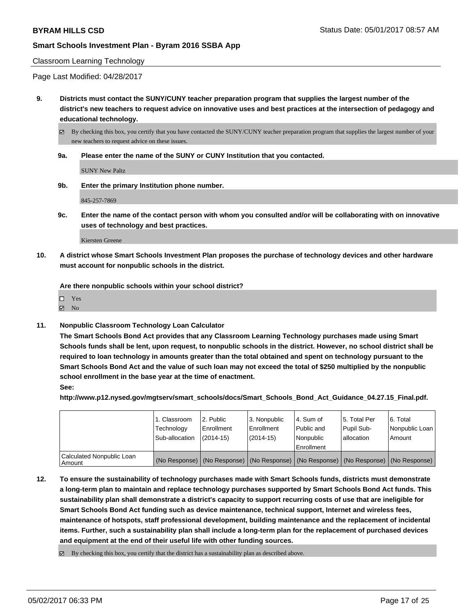#### Classroom Learning Technology

Page Last Modified: 04/28/2017

**9. Districts must contact the SUNY/CUNY teacher preparation program that supplies the largest number of the district's new teachers to request advice on innovative uses and best practices at the intersection of pedagogy and educational technology.**

By checking this box, you certify that you have contacted the SUNY/CUNY teacher preparation program that supplies the largest number of your new teachers to request advice on these issues.

**9a. Please enter the name of the SUNY or CUNY Institution that you contacted.**

SUNY New Paltz

**9b. Enter the primary Institution phone number.**

845-257-7869

**9c. Enter the name of the contact person with whom you consulted and/or will be collaborating with on innovative uses of technology and best practices.**

Kiersten Greene

**10. A district whose Smart Schools Investment Plan proposes the purchase of technology devices and other hardware must account for nonpublic schools in the district.**

**Are there nonpublic schools within your school district?**

Yes

 $\boxtimes$  No

**11. Nonpublic Classroom Technology Loan Calculator**

**The Smart Schools Bond Act provides that any Classroom Learning Technology purchases made using Smart Schools funds shall be lent, upon request, to nonpublic schools in the district. However, no school district shall be required to loan technology in amounts greater than the total obtained and spent on technology pursuant to the Smart Schools Bond Act and the value of such loan may not exceed the total of \$250 multiplied by the nonpublic school enrollment in the base year at the time of enactment.**

**See:**

**http://www.p12.nysed.gov/mgtserv/smart\_schools/docs/Smart\_Schools\_Bond\_Act\_Guidance\_04.27.15\_Final.pdf.**

|                                     | 1. Classroom<br>Technology<br>Sub-allocation | l 2. Public<br>Enrollment<br>$(2014-15)$ | 3. Nonpublic<br>Enrollment<br>(2014-15) | l 4. Sum of<br>l Public and<br>Nonpublic<br>Enrollment | 15. Total Per<br>Pupil Sub-<br>l allocation | l 6. Total<br>Nonpublic Loan<br>Amount                                                        |
|-------------------------------------|----------------------------------------------|------------------------------------------|-----------------------------------------|--------------------------------------------------------|---------------------------------------------|-----------------------------------------------------------------------------------------------|
| Calculated Nonpublic Loan<br>Amount |                                              |                                          |                                         |                                                        |                                             | (No Response)   (No Response)   (No Response)   (No Response)   (No Response)   (No Response) |

- **12. To ensure the sustainability of technology purchases made with Smart Schools funds, districts must demonstrate a long-term plan to maintain and replace technology purchases supported by Smart Schools Bond Act funds. This sustainability plan shall demonstrate a district's capacity to support recurring costs of use that are ineligible for Smart Schools Bond Act funding such as device maintenance, technical support, Internet and wireless fees, maintenance of hotspots, staff professional development, building maintenance and the replacement of incidental items. Further, such a sustainability plan shall include a long-term plan for the replacement of purchased devices and equipment at the end of their useful life with other funding sources.**
	- $\boxtimes$  By checking this box, you certify that the district has a sustainability plan as described above.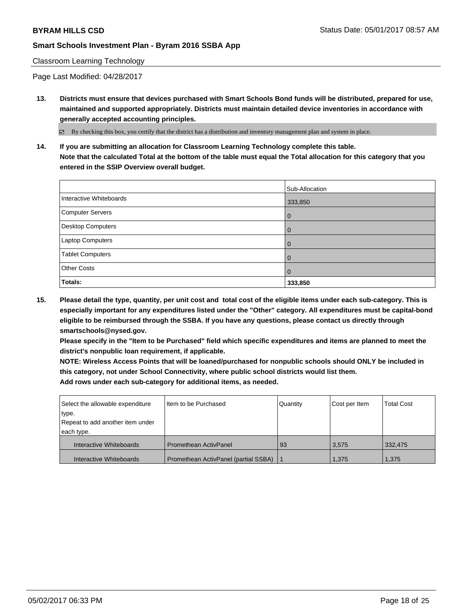# Classroom Learning Technology

Page Last Modified: 04/28/2017

**13. Districts must ensure that devices purchased with Smart Schools Bond funds will be distributed, prepared for use, maintained and supported appropriately. Districts must maintain detailed device inventories in accordance with generally accepted accounting principles.**

By checking this box, you certify that the district has a distribution and inventory management plan and system in place.

**14. If you are submitting an allocation for Classroom Learning Technology complete this table. Note that the calculated Total at the bottom of the table must equal the Total allocation for this category that you entered in the SSIP Overview overall budget.**

|                         | Sub-Allocation |
|-------------------------|----------------|
| Interactive Whiteboards | 333,850        |
| Computer Servers        | l 0            |
| Desktop Computers       | l 0            |
| <b>Laptop Computers</b> | l 0            |
| <b>Tablet Computers</b> | l 0            |
| <b>Other Costs</b>      | l 0            |
| Totals:                 | 333,850        |

**15. Please detail the type, quantity, per unit cost and total cost of the eligible items under each sub-category. This is especially important for any expenditures listed under the "Other" category. All expenditures must be capital-bond eligible to be reimbursed through the SSBA. If you have any questions, please contact us directly through smartschools@nysed.gov.**

**Please specify in the "Item to be Purchased" field which specific expenditures and items are planned to meet the district's nonpublic loan requirement, if applicable.**

**NOTE: Wireless Access Points that will be loaned/purchased for nonpublic schools should ONLY be included in this category, not under School Connectivity, where public school districts would list them. Add rows under each sub-category for additional items, as needed.**

| Select the allowable expenditure | Item to be Purchased                 | Quantity | Cost per Item | <b>Total Cost</b> |
|----------------------------------|--------------------------------------|----------|---------------|-------------------|
| type.                            |                                      |          |               |                   |
| Repeat to add another item under |                                      |          |               |                   |
| each type.                       |                                      |          |               |                   |
| Interactive Whiteboards          | <b>Promethean ActivPanel</b>         | -93      | 3.575         | 332.475           |
| Interactive Whiteboards          | Promethean ActivPanel (partial SSBA) |          | 1.375         | 1,375             |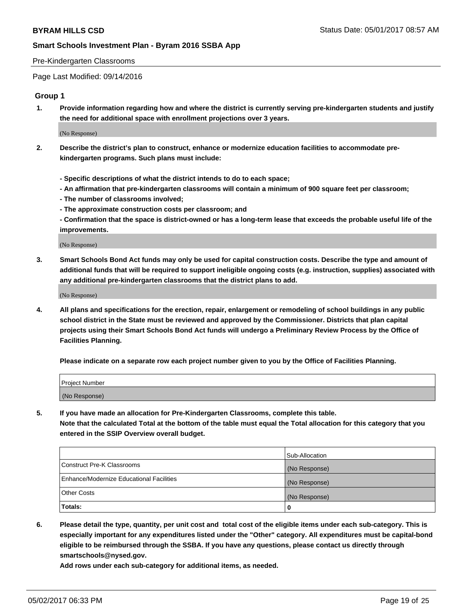### Pre-Kindergarten Classrooms

Page Last Modified: 09/14/2016

### **Group 1**

**1. Provide information regarding how and where the district is currently serving pre-kindergarten students and justify the need for additional space with enrollment projections over 3 years.**

(No Response)

- **2. Describe the district's plan to construct, enhance or modernize education facilities to accommodate prekindergarten programs. Such plans must include:**
	- **Specific descriptions of what the district intends to do to each space;**
	- **An affirmation that pre-kindergarten classrooms will contain a minimum of 900 square feet per classroom;**
	- **The number of classrooms involved;**
	- **The approximate construction costs per classroom; and**
	- **Confirmation that the space is district-owned or has a long-term lease that exceeds the probable useful life of the improvements.**

(No Response)

**3. Smart Schools Bond Act funds may only be used for capital construction costs. Describe the type and amount of additional funds that will be required to support ineligible ongoing costs (e.g. instruction, supplies) associated with any additional pre-kindergarten classrooms that the district plans to add.**

(No Response)

**4. All plans and specifications for the erection, repair, enlargement or remodeling of school buildings in any public school district in the State must be reviewed and approved by the Commissioner. Districts that plan capital projects using their Smart Schools Bond Act funds will undergo a Preliminary Review Process by the Office of Facilities Planning.**

**Please indicate on a separate row each project number given to you by the Office of Facilities Planning.**

| Project Number |  |
|----------------|--|
| (No Response)  |  |

**5. If you have made an allocation for Pre-Kindergarten Classrooms, complete this table. Note that the calculated Total at the bottom of the table must equal the Total allocation for this category that you entered in the SSIP Overview overall budget.**

| Totals:                                  | 0              |
|------------------------------------------|----------------|
| Other Costs                              | (No Response)  |
| Enhance/Modernize Educational Facilities | (No Response)  |
| Construct Pre-K Classrooms               | (No Response)  |
|                                          | Sub-Allocation |

**6. Please detail the type, quantity, per unit cost and total cost of the eligible items under each sub-category. This is especially important for any expenditures listed under the "Other" category. All expenditures must be capital-bond eligible to be reimbursed through the SSBA. If you have any questions, please contact us directly through smartschools@nysed.gov.**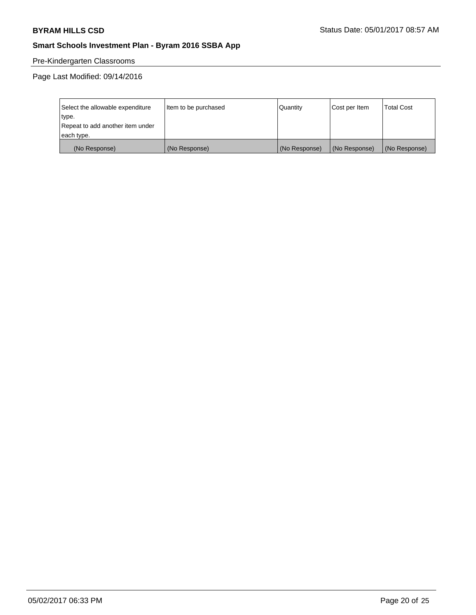# Pre-Kindergarten Classrooms

Page Last Modified: 09/14/2016

| Select the allowable expenditure | Item to be purchased | Quantity      | Cost per Item | <b>Total Cost</b> |
|----------------------------------|----------------------|---------------|---------------|-------------------|
| type.                            |                      |               |               |                   |
| Repeat to add another item under |                      |               |               |                   |
| each type.                       |                      |               |               |                   |
| (No Response)                    | (No Response)        | (No Response) | (No Response) | (No Response)     |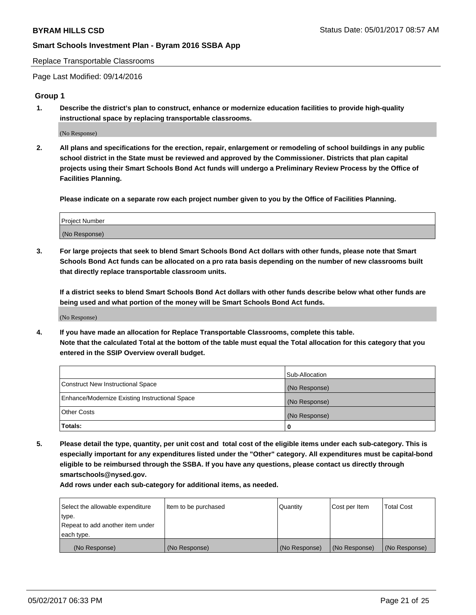Replace Transportable Classrooms

Page Last Modified: 09/14/2016

### **Group 1**

**1. Describe the district's plan to construct, enhance or modernize education facilities to provide high-quality instructional space by replacing transportable classrooms.**

(No Response)

**2. All plans and specifications for the erection, repair, enlargement or remodeling of school buildings in any public school district in the State must be reviewed and approved by the Commissioner. Districts that plan capital projects using their Smart Schools Bond Act funds will undergo a Preliminary Review Process by the Office of Facilities Planning.**

**Please indicate on a separate row each project number given to you by the Office of Facilities Planning.**

| Project Number |  |
|----------------|--|
| (No Response)  |  |

**3. For large projects that seek to blend Smart Schools Bond Act dollars with other funds, please note that Smart Schools Bond Act funds can be allocated on a pro rata basis depending on the number of new classrooms built that directly replace transportable classroom units.**

**If a district seeks to blend Smart Schools Bond Act dollars with other funds describe below what other funds are being used and what portion of the money will be Smart Schools Bond Act funds.**

(No Response)

**4. If you have made an allocation for Replace Transportable Classrooms, complete this table. Note that the calculated Total at the bottom of the table must equal the Total allocation for this category that you entered in the SSIP Overview overall budget.**

|                                                | Sub-Allocation |
|------------------------------------------------|----------------|
| Construct New Instructional Space              | (No Response)  |
| Enhance/Modernize Existing Instructional Space | (No Response)  |
| Other Costs                                    | (No Response)  |
| Totals:                                        | $\Omega$       |

**5. Please detail the type, quantity, per unit cost and total cost of the eligible items under each sub-category. This is especially important for any expenditures listed under the "Other" category. All expenditures must be capital-bond eligible to be reimbursed through the SSBA. If you have any questions, please contact us directly through smartschools@nysed.gov.**

| Select the allowable expenditure | Item to be purchased | Quantity      | Cost per Item | <b>Total Cost</b> |
|----------------------------------|----------------------|---------------|---------------|-------------------|
| type.                            |                      |               |               |                   |
| Repeat to add another item under |                      |               |               |                   |
| each type.                       |                      |               |               |                   |
| (No Response)                    | (No Response)        | (No Response) | (No Response) | (No Response)     |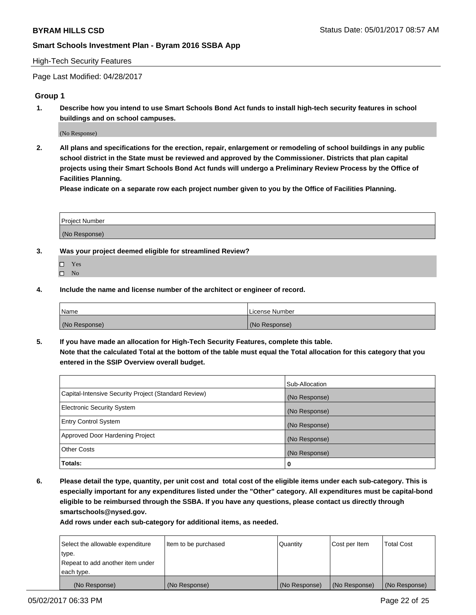### High-Tech Security Features

Page Last Modified: 04/28/2017

### **Group 1**

**1. Describe how you intend to use Smart Schools Bond Act funds to install high-tech security features in school buildings and on school campuses.**

(No Response)

**2. All plans and specifications for the erection, repair, enlargement or remodeling of school buildings in any public school district in the State must be reviewed and approved by the Commissioner. Districts that plan capital projects using their Smart Schools Bond Act funds will undergo a Preliminary Review Process by the Office of Facilities Planning.** 

**Please indicate on a separate row each project number given to you by the Office of Facilities Planning.**

| Project Number |  |
|----------------|--|
|                |  |
|                |  |
|                |  |
| (No Response)  |  |
|                |  |

- **3. Was your project deemed eligible for streamlined Review?**
	- Yes  $\hfill \square$  No
- **4. Include the name and license number of the architect or engineer of record.**

| <b>Name</b>   | License Number |
|---------------|----------------|
| (No Response) | (No Response)  |

**5. If you have made an allocation for High-Tech Security Features, complete this table. Note that the calculated Total at the bottom of the table must equal the Total allocation for this category that you entered in the SSIP Overview overall budget.**

|                                                      | Sub-Allocation |
|------------------------------------------------------|----------------|
| Capital-Intensive Security Project (Standard Review) | (No Response)  |
| Electronic Security System                           | (No Response)  |
| <b>Entry Control System</b>                          | (No Response)  |
| Approved Door Hardening Project                      | (No Response)  |
| <b>Other Costs</b>                                   | (No Response)  |
| Totals:                                              | 0              |

**6. Please detail the type, quantity, per unit cost and total cost of the eligible items under each sub-category. This is especially important for any expenditures listed under the "Other" category. All expenditures must be capital-bond eligible to be reimbursed through the SSBA. If you have any questions, please contact us directly through smartschools@nysed.gov.**

| (No Response)                    | (No Response)        | (No Response)   | (No Response) | (No Response)     |
|----------------------------------|----------------------|-----------------|---------------|-------------------|
| each type.                       |                      |                 |               |                   |
| Repeat to add another item under |                      |                 |               |                   |
| type.                            |                      |                 |               |                   |
| Select the allowable expenditure | Item to be purchased | <b>Quantity</b> | Cost per Item | <b>Total Cost</b> |
|                                  |                      |                 |               |                   |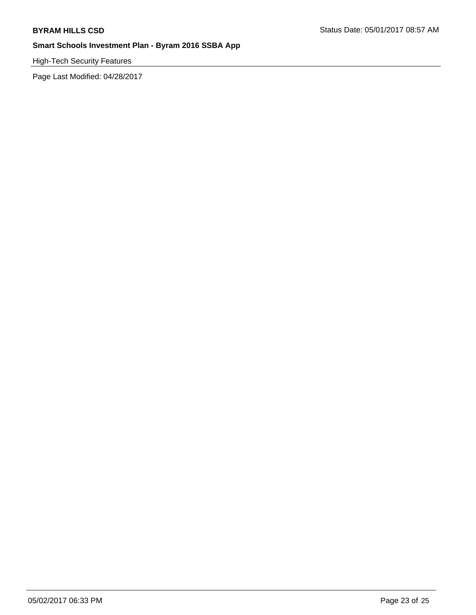High-Tech Security Features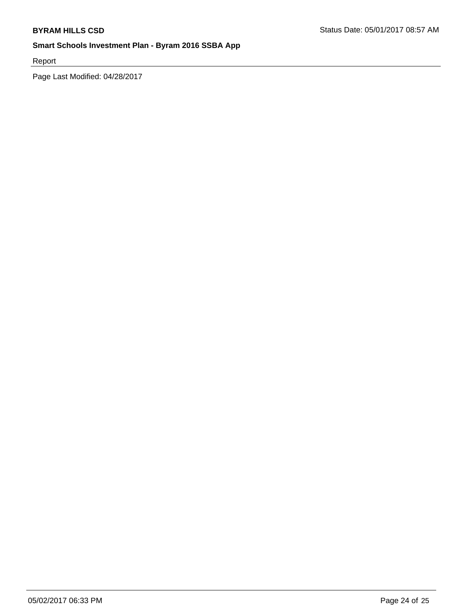Report